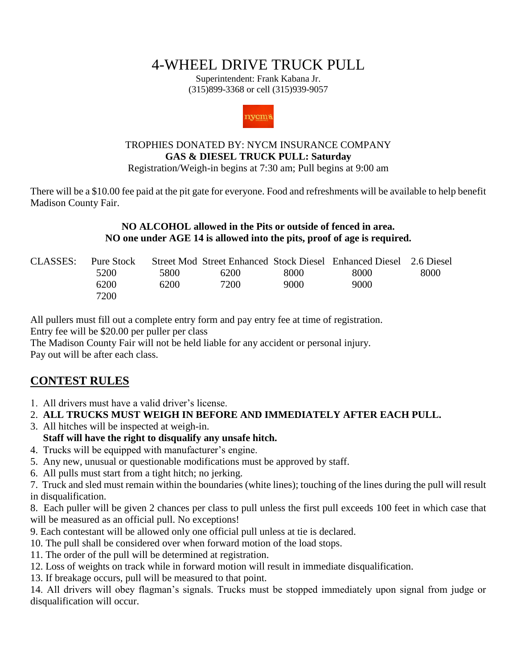# 4-WHEEL DRIVE TRUCK PULL

Superintendent: Frank Kabana Jr. (315)899-3368 or cell (315)939-9057



#### TROPHIES DONATED BY: NYCM INSURANCE COMPANY **GAS & DIESEL TRUCK PULL: Saturday**

Registration/Weigh-in begins at 7:30 am; Pull begins at 9:00 am

There will be a \$10.00 fee paid at the pit gate for everyone. Food and refreshments will be available to help benefit Madison County Fair.

> **NO ALCOHOL allowed in the Pits or outside of fenced in area. NO one under AGE 14 is allowed into the pits, proof of age is required.**

| CLASSES: | Pure Stock |      |      |      | Street Mod Street Enhanced Stock Diesel Enhanced Diesel 2.6 Diesel |      |
|----------|------------|------|------|------|--------------------------------------------------------------------|------|
|          | 5200       | 5800 | 6200 | 8000 | 8000                                                               | 8000 |
|          | 6200       | 6200 | 7200 | 9000 | 9000                                                               |      |
|          | 7200       |      |      |      |                                                                    |      |

All pullers must fill out a complete entry form and pay entry fee at time of registration. Entry fee will be \$20.00 per puller per class

The Madison County Fair will not be held liable for any accident or personal injury. Pay out will be after each class.

### **CONTEST RULES**

- 1. All drivers must have a valid driver's license.
- 2. **ALL TRUCKS MUST WEIGH IN BEFORE AND IMMEDIATELY AFTER EACH PULL.**
- 3. All hitches will be inspected at weigh-in.

#### **Staff will have the right to disqualify any unsafe hitch.**

- 4. Trucks will be equipped with manufacturer's engine.
- 5. Any new, unusual or questionable modifications must be approved by staff.
- 6. All pulls must start from a tight hitch; no jerking.

7. Truck and sled must remain within the boundaries (white lines); touching of the lines during the pull will result in disqualification.

8. Each puller will be given 2 chances per class to pull unless the first pull exceeds 100 feet in which case that will be measured as an official pull. No exceptions!

9. Each contestant will be allowed only one official pull unless at tie is declared.

- 10. The pull shall be considered over when forward motion of the load stops.
- 11. The order of the pull will be determined at registration.
- 12. Loss of weights on track while in forward motion will result in immediate disqualification.
- 13. If breakage occurs, pull will be measured to that point.

14. All drivers will obey flagman's signals. Trucks must be stopped immediately upon signal from judge or disqualification will occur.